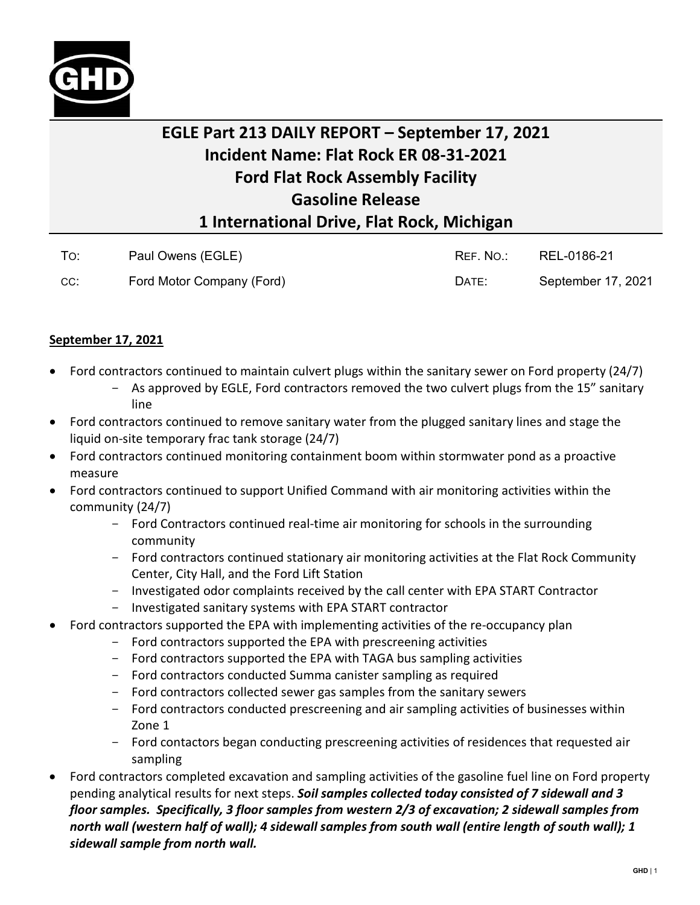

## **EGLE Part 213 DAILY REPORT – September 17, 2021 Incident Name: Flat Rock ER 08-31-2021 Ford Flat Rock Assembly Facility Gasoline Release 1 International Drive, Flat Rock, Michigan**

| To: | Paul Owens (EGLE)         | REF. NO.: | REL-0186-21        |
|-----|---------------------------|-----------|--------------------|
| CC: | Ford Motor Company (Ford) | DATE:     | September 17, 2021 |

## **September 17, 2021**

- Ford contractors continued to maintain culvert plugs within the sanitary sewer on Ford property (24/7)
	- As approved by EGLE, Ford contractors removed the two culvert plugs from the 15" sanitary line
- Ford contractors continued to remove sanitary water from the plugged sanitary lines and stage the liquid on-site temporary frac tank storage (24/7)
- Ford contractors continued monitoring containment boom within stormwater pond as a proactive measure
- Ford contractors continued to support Unified Command with air monitoring activities within the community (24/7)
	- Ford Contractors continued real-time air monitoring for schools in the surrounding community
	- Ford contractors continued stationary air monitoring activities at the Flat Rock Community Center, City Hall, and the Ford Lift Station
	- Investigated odor complaints received by the call center with EPA START Contractor
	- Investigated sanitary systems with EPA START contractor
- Ford contractors supported the EPA with implementing activities of the re-occupancy plan
	- Ford contractors supported the EPA with prescreening activities
	- Ford contractors supported the EPA with TAGA bus sampling activities
	- Ford contractors conducted Summa canister sampling as required
	- Ford contractors collected sewer gas samples from the sanitary sewers
	- Ford contractors conducted prescreening and air sampling activities of businesses within Zone 1
	- Ford contactors began conducting prescreening activities of residences that requested air sampling
- Ford contractors completed excavation and sampling activities of the gasoline fuel line on Ford property pending analytical results for next steps. *Soil samples collected today consisted of 7 sidewall and 3 floor samples. Specifically, 3 floor samples from western 2/3 of excavation; 2 sidewall samples from north wall (western half of wall); 4 sidewall samples from south wall (entire length of south wall); 1 sidewall sample from north wall.*